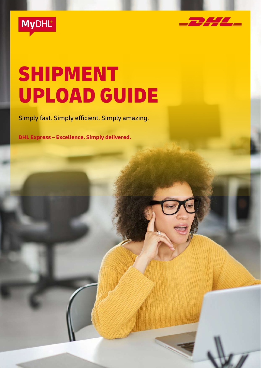



# SHIPMENT UPLOAD GUIDE

Simply fast. Simply efficient. Simply amazing.

**DHL Express – Excellence. Simply delivered.**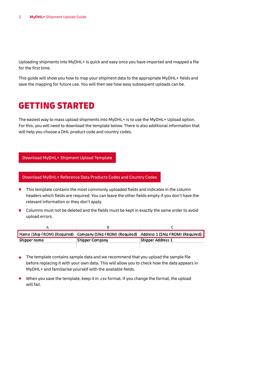Uploading shipments into MyDHL+ is quick and easy once you have imported and mapped a file for the first time.

This guide will show you how to map your shipment data to the appropriate MyDHL+ fields and save the mapping for future use. You will then see how easy subsequent uploads can be.

### GETTING STARTED

The easiest way to mass upload shipments into MyDHL+ is to use the MyDHL+ Upload option. For this, you will need to download the template below. There is also additional information that will help you choose a DHL product code and country codes.

#### Download MyDHL+ Shipment Upload Template

Download MyDHL+ Reference Data Products Codes and Country Codes

- **This template contains the most commonly uploaded fields and indicates in the column** headers which fields are required. You can leave the other fields empty if you don't have the relevant information or they don't apply.
- $\overline{\phantom{a}}$ Columns must not be deleted and the fields must be kept in exactly the same order to avoid upload errors.

|              |                        | Name (Ship FROM) (Required) Company (Ship FROM) (Required) Address 1 (Ship FROM) (Required) |
|--------------|------------------------|---------------------------------------------------------------------------------------------|
| Shipper name | <b>Shipper Company</b> | Shipper Address 1                                                                           |

- $\overline{\phantom{a}}$ The template contains sample data and we recommend that you upload the sample file before replacing it with your own data. This will allow you to check how the data appears in MyDHL+ and familiarise yourself with the available fields.
- When you save the template, keep it in .csv format. If you change the format, the upload will fail.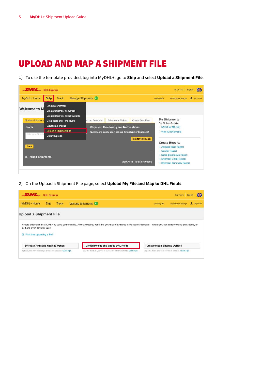## UPLOAD AND MAP A SHIPMENT FILE

To use the template provided, log into MyDHL+, go to **Ship** and select **Upload a Shipment File**.



On the Upload a Shipment File page, select **Upload My File and Map to DHL Fields**.

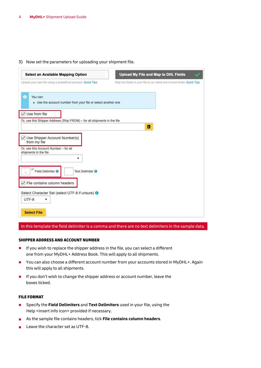Now set the parameters for uploading your shipment file.

| Select an Available Mapping Option                                                        | Upload My File and Map to DHL Fields                                    |
|-------------------------------------------------------------------------------------------|-------------------------------------------------------------------------|
| Upload your own file using a predefined process. Quick Tips                               | Map the fields in your file to our label and invoice fields. Quick Tips |
| ⊕<br>You can:<br>• Use the account number from your file or select another one            |                                                                         |
| Use from file<br>Or, use this Shipper Address (Ship FROM) - for all shipments in the file |                                                                         |
|                                                                                           | в                                                                       |
| Use Shipper Account Number(s)<br>from my file                                             |                                                                         |
| Or, use this Account Number - for all<br>shipments in the file                            |                                                                         |
| ۷                                                                                         |                                                                         |
| Field Delimiter <b>O</b><br>Text Delimiter <sup>6</sup>                                   |                                                                         |
| File contains column headers                                                              |                                                                         |
| Select Character Set (select UTF-8 if unsure) <sup>O</sup>                                |                                                                         |
| UTF-8                                                                                     |                                                                         |
|                                                                                           |                                                                         |

#### In this template the field delimiter is a comma and there are no text delimiters in the sample data.

#### SHIPPER ADDRESS AND ACCOUNT NUMBER

- If you wish to replace the shipper address in the file, you can select a different  $\mathcal{L}_{\mathcal{A}}$ one from your MyDHL+ Address Book. This will apply to all shipments.
- You can also choose a different account number from your accounts stored in MyDHL+. Again  $\blacksquare$ this will apply to all shipments.
- $I$  If you don't wish to change the shipper address or account number, leave the boxes ticked.

#### FILE FORMAT

- Specify the **Field Delimiters** and **Text Delimiters** used in your file, using the  $\blacksquare$ Help <insert info icon> provided if necessary.
- As the sample file contains headers, tick **File contains column headers**.  $\overline{\phantom{a}}$
- Leave the character set as UTF-8.п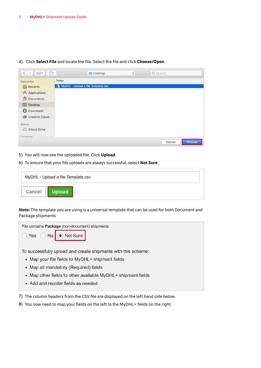| È<br>$\langle$ ><br>$\square$ |       | Desktop<br>m                       | $\hat{\cdot}$ | Q Search |        |
|-------------------------------|-------|------------------------------------|---------------|----------|--------|
| Favourites                    | Today |                                    |               |          |        |
| Recents                       |       | MyDHL - Upload a file Template.csv |               |          |        |
| $\mathcal{P}_i$ Applications  |       |                                    |               |          |        |
| 嘞<br>Documents                |       |                                    |               |          |        |
| Desktop                       |       |                                    |               |          |        |
| o<br>Downloads                |       |                                    |               |          |        |
| Creative Cloud<br>۱           |       |                                    |               |          |        |
| iCloud                        |       |                                    |               |          |        |
| Cicloud Drive                 |       |                                    |               |          |        |
| Locatione<br>m - ww           |       |                                    |               |          |        |
|                               |       |                                    |               | Cancel   | Choose |

Click **Select File** and locate the file. Select the file and click **Choose/Open**.

- You will now see the uploaded file. Click **Upload**.
- To ensure that your file uploads are always successful, select **Not Sure**.

| The Centre | MyDHL - Upload a file Template.csv |  |  |
|------------|------------------------------------|--|--|
| Cancel     |                                    |  |  |

**Note:** The template you are using is a universal template that can be used for both Document and Package shipments



To successfully upload and create shipments with this scheme:

- Map your file fields to MyDHL+ shipment fields
- Map all mandatory (Required) fields
- Map other fields to other available MyDHL+ shipment fields
- Add and reorder fields as needed
- The column headers from the CSV file are displayed on the left hand side below.
- 8) You now need to map your fields on the left to the MyDHL+ fields on the right.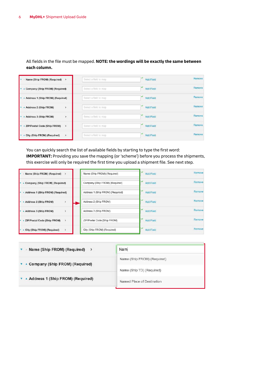| Name (Ship FROM) (Required)<br><b>V</b><br>$\rightarrow$ | Select a field to map | Add Field        | Remove |
|----------------------------------------------------------|-----------------------|------------------|--------|
| Company (Ship FROM) (Required)<br><b>V</b>               | Select a field to map | <b>Add Field</b> | Remove |
| Address 1 (Ship FROM) (Required)<br><b>V</b>             | Select a field to map | Add Field        | Remove |
| Address 2 (Ship FROM)<br>$\,$<br><b>I</b>                | Select a field to map | <b>Add Field</b> | Remove |
| Address 3 (Ship FROM)<br>$\mathbf{r}$<br><b>v</b>        | Select a field to map | Add Field        | Remove |
| ZIP/Postal Code (Ship FROM)<br>$\rightarrow$<br><b>v</b> | Select a field to map | <b>Add Field</b> | Remove |
| $\,$<br>City (Ship FROM) (Required)                      | Select a field to map | Add Field        | Remove |

All fields in the file must be mapped. **NOTE: the wordings will be exactly the same between each column.** 

You can quickly search the list of available fields by starting to type the first word: **IMPORTANT:** Providing you save the mapping (or 'scheme') before you process the shipments, this exercise will only be required the first time you upload a shipment file. See next step.

| Name (Ship FROM) (Required) ><br>×                     | Name (Ship FROM) (Required)      | Add Field        | Remove |
|--------------------------------------------------------|----------------------------------|------------------|--------|
| Company (Ship FROM) (Required)<br>×                    | Company (Ship FROM) (Required)   | Add Field        | Remove |
| Address 1 (Ship FROM) (Required)<br>×                  | Address 1 (Ship FROM) (Required) | <b>Add Field</b> | Remove |
| Address 2 (Ship FROM)<br>ь<br>$\rightarrow$            | Address 2 (Ship FROM)            | <b>Add Field</b> | Remove |
| $\overline{\phantom{a}}$<br>Address 3 (Ship FROM)<br>ь | Address 3 (Ship FROM)            | Add Field        | Remove |
| ZIP/Postal Code (Ship FROM)<br>×<br>$\rightarrow$      | ZIP/Postal Code (Ship FROM)      | <b>Add Field</b> | Remove |
| City (Ship FROM) (Required)<br>$\rightarrow$<br>и      | City (Ship FROM) (Required)      | Add Field        | Remove |

| Name (Ship FROM) (Required) >    | Nam                         |  |
|----------------------------------|-----------------------------|--|
| ▲ Company (Ship FROM) (Required) | Name (Ship FROM) (Required) |  |
|                                  | Name (Ship TO) (Required)   |  |
| Address 1 (Ship FROM) (Required) | Named Place of Destination  |  |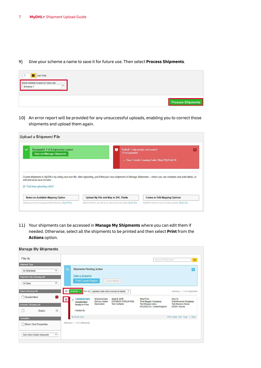9) Give your scheme a name to save it for future use. Then select **Process Shipments**.

| п<br>Add Field                                  |  |  |                          |
|-------------------------------------------------|--|--|--------------------------|
| Name scheme to save for future use<br>ш<br>heme |  |  |                          |
|                                                 |  |  | <b>Process Shipments</b> |

10) An error report will be provided for any unsuccessful uploads, enabling you to correct those shipments and upload them again.

| ✓<br>Successful: 1 of 2 shipment(s) created<br><b>View and Manage Shipments</b> | ß | Failed: 1 shipment(s) not created<br>1 not uploaded                                                                                                                                                                     | $\sim$ |
|---------------------------------------------------------------------------------|---|-------------------------------------------------------------------------------------------------------------------------------------------------------------------------------------------------------------------------|--------|
|                                                                                 |   | - Row 3 Invalid Country Code (Ship TO) Field 18<br>Create shipments in MyDHL+ by using your own file. After uploading, you'll find your new shipments in Manage Shipments - where you can complete and print labels, or |        |
|                                                                                 |   |                                                                                                                                                                                                                         |        |
| edit and even save for later.<br>E First time uploading a file?                 |   |                                                                                                                                                                                                                         |        |

Your shipments can be accessed in **Manage My Shipments** where you can edit them if needed. Otherwise, select all the shipments to be printed and then select **Print** from the **Actions** option.

| Filter By                                                                                  |                                                                                                      |                                                                                                     |                                                            | Search All Shipments                                                                      | $\alpha$                                                                                                             |
|--------------------------------------------------------------------------------------------|------------------------------------------------------------------------------------------------------|-----------------------------------------------------------------------------------------------------|------------------------------------------------------------|-------------------------------------------------------------------------------------------|----------------------------------------------------------------------------------------------------------------------|
| <b>Shipment Type</b><br>My Shipments<br>۰<br>Shipment Date (Showing All)<br>۰<br>All Dates | $\odot$<br><b>Shipments Pending Action</b><br><b>Today's Snapshot</b><br><b>Print Courier Report</b> | Consolidate                                                                                         |                                                            |                                                                                           | $\sim$                                                                                                               |
| Status (Showing All)<br>$\mathbf{1}$<br>□ Unsubmitted<br>Accounts (Showing All)            | Ø<br>Actions *<br>$\boxtimes$<br>1506843085<br>÷<br>Unsubmitted<br>Ready to Print                    | Sort By   Updated Date (show newest to oldest) .<br>Shipment Date<br>Delivery Option<br>Description | April 5, 2019<br>EXPRESS WORLDWIDE<br><b>Test Contents</b> | Ship From<br><b>Test Shipper Company</b><br>Test Shipper name<br>HOUNSLOW. United Kingdom | Showing 1 - 1 of 1 shipments<br>Ship To<br><b>Test Receiver Company</b><br><b>Test Receiver Name</b><br>MOSS. Norway |
| $\vert 1 \vert$<br>- Export<br><b>Favourites</b><br>Show Only Favourites                   | Created By<br>Q Quick View<br>Showing 1 - 1 of 1 shipments                                           |                                                                                                     |                                                            |                                                                                           | Print Labels Edit Copy < More                                                                                        |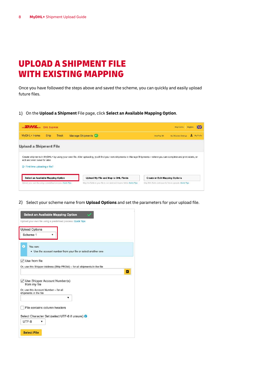## UPLOAD A SHIPMENT FILE WITH EXISTING MAPPING

Once you have followed the steps above and saved the scheme, you can quickly and easily upload future files.

On the **Upload a Shipment** File page, click **Select an Available Mapping Option**.

| $\frac{1}{2}$ $\frac{1}{2}$ $\frac{1}{2}$ DHL Express       |               |                       |                                                                                                                                                                      |  |                                       | Holp Centro                                            | <b>English</b> | 農          |
|-------------------------------------------------------------|---------------|-----------------------|----------------------------------------------------------------------------------------------------------------------------------------------------------------------|--|---------------------------------------|--------------------------------------------------------|----------------|------------|
| MyDHL+ Home                                                 | Ship<br>Track | Manage Shipments (41) |                                                                                                                                                                      |  | View/Pay Bill                         | My Shipment Settings                                   | л              | My Profile |
| <b>Upload a Shipment File</b>                               |               |                       |                                                                                                                                                                      |  |                                       |                                                        |                |            |
| edit and even save for later.                               |               |                       | Create shipments in MyDHL+ by using your own file. After uploading, you'll find your new shipments in Manage Shipments - where you can complete and print labels, or |  |                                       |                                                        |                |            |
| First time uploading a file?                                |               |                       |                                                                                                                                                                      |  |                                       |                                                        |                |            |
| Select an Available Mapping Option                          |               |                       | Upload My File and Map to DHL Fields                                                                                                                                 |  | <b>Create or Edit Mapping Options</b> |                                                        |                |            |
| Upload your own file using a pradefined process. Quick Tips |               |                       | Map the fields in your file to cur label and invoice fields: Quick Tips                                                                                              |  |                                       | Map DHL fields and save for future uploads. Oxick Tips |                |            |

Select your scheme name from **Upload Options** and set the parameters for your upload file.

| <b>Upload Options</b>                                          |                                                                          |   |
|----------------------------------------------------------------|--------------------------------------------------------------------------|---|
| Scheme 1                                                       |                                                                          |   |
| O<br>You can:                                                  | . Use the account number from your file or select another one            |   |
| $\vee$ Use from file                                           |                                                                          |   |
|                                                                | Or, use this Shipper Address (Ship FROM) - for all shipments in the file |   |
|                                                                |                                                                          | в |
| Use Shipper Account Number(s)<br>from my file                  |                                                                          |   |
| Or, use this Account Number - for all<br>shipments in the file |                                                                          |   |
|                                                                |                                                                          |   |
| File contains column headers                                   |                                                                          |   |
|                                                                | Select Character Set (select UTF-8 if unsure) <sup>6</sup>               |   |
|                                                                |                                                                          |   |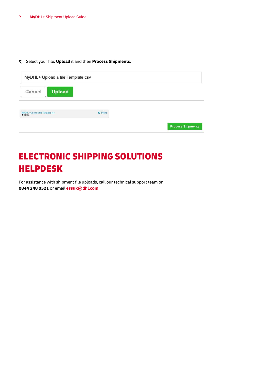#### Select your file, **Upload** it and then **Process Shipments**.

| Cancel | <b>Upload</b> |  |
|--------|---------------|--|
|--------|---------------|--|

| <b>The Company's Company's</b><br>the contract of the contract of the<br>MyDHL+ Upload a file Template.csv<br>1.91 KB | <b>O</b> Delete |
|-----------------------------------------------------------------------------------------------------------------------|-----------------|
|                                                                                                                       |                 |
|                                                                                                                       |                 |

## ELECTRONIC SHIPPING SOLUTIONS HELPDESK

For assistance with shipment file uploads, call our technical support team on **0844 248 0521** or email **[essuk@dhl.com](mailto:essuk@dhl.com)**.